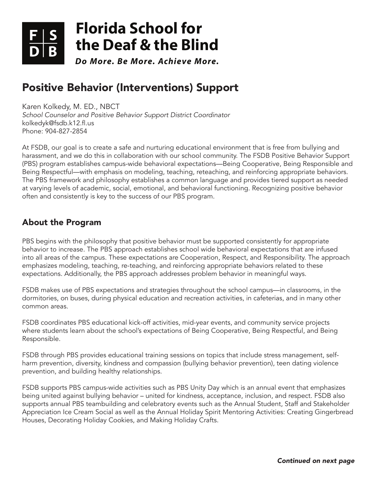

# **Florida School for [the Deaf & the Blind](http://www.fsdbk12.org)**

*Do More. Be More. Achieve More.*

# Positive Behavior (Interventions) Support

Karen Kolkedy, M. ED., NBCT *School Counselor and Positive Behavior Support District Coordinator* kolkedyk@fsdb.k12.fl.us Phone: 904-827-2854

At FSDB, our goal is to create a safe and nurturing educational environment that is free from bullying and harassment, and we do this in collaboration with our school community. The FSDB Positive Behavior Support (PBS) program establishes campus-wide behavioral expectations—Being Cooperative, Being Responsible and Being Respectful—with emphasis on modeling, teaching, reteaching, and reinforcing appropriate behaviors. The PBS framework and philosophy establishes a common language and provides tiered support as needed at varying levels of academic, social, emotional, and behavioral functioning. Recognizing positive behavior often and consistently is key to the success of our PBS program.

## About the Program

PBS begins with the philosophy that positive behavior must be supported consistently for appropriate behavior to increase. The PBS approach establishes school wide behavioral expectations that are infused into all areas of the campus. These expectations are Cooperation, Respect, and Responsibility. The approach emphasizes modeling, teaching, re-teaching, and reinforcing appropriate behaviors related to these expectations. Additionally, the PBS approach addresses problem behavior in meaningful ways.

FSDB makes use of PBS expectations and strategies throughout the school campus—in classrooms, in the dormitories, on buses, during physical education and recreation activities, in cafeterias, and in many other common areas.

FSDB coordinates PBS educational kick-off activities, mid-year events, and community service projects where students learn about the school's expectations of Being Cooperative, Being Respectful, and Being Responsible.

FSDB through PBS provides educational training sessions on topics that include stress management, selfharm prevention, diversity, kindness and compassion (bullying behavior prevention), teen dating violence prevention, and building healthy relationships.

FSDB supports PBS campus-wide activities such as PBS Unity Day which is an annual event that emphasizes being united against bullying behavior – united for kindness, acceptance, inclusion, and respect. FSDB also supports annual PBS teambuilding and celebratory events such as the Annual Student, Staff and Stakeholder Appreciation Ice Cream Social as well as the Annual Holiday Spirit Mentoring Activities: Creating Gingerbread Houses, Decorating Holiday Cookies, and Making Holiday Crafts.